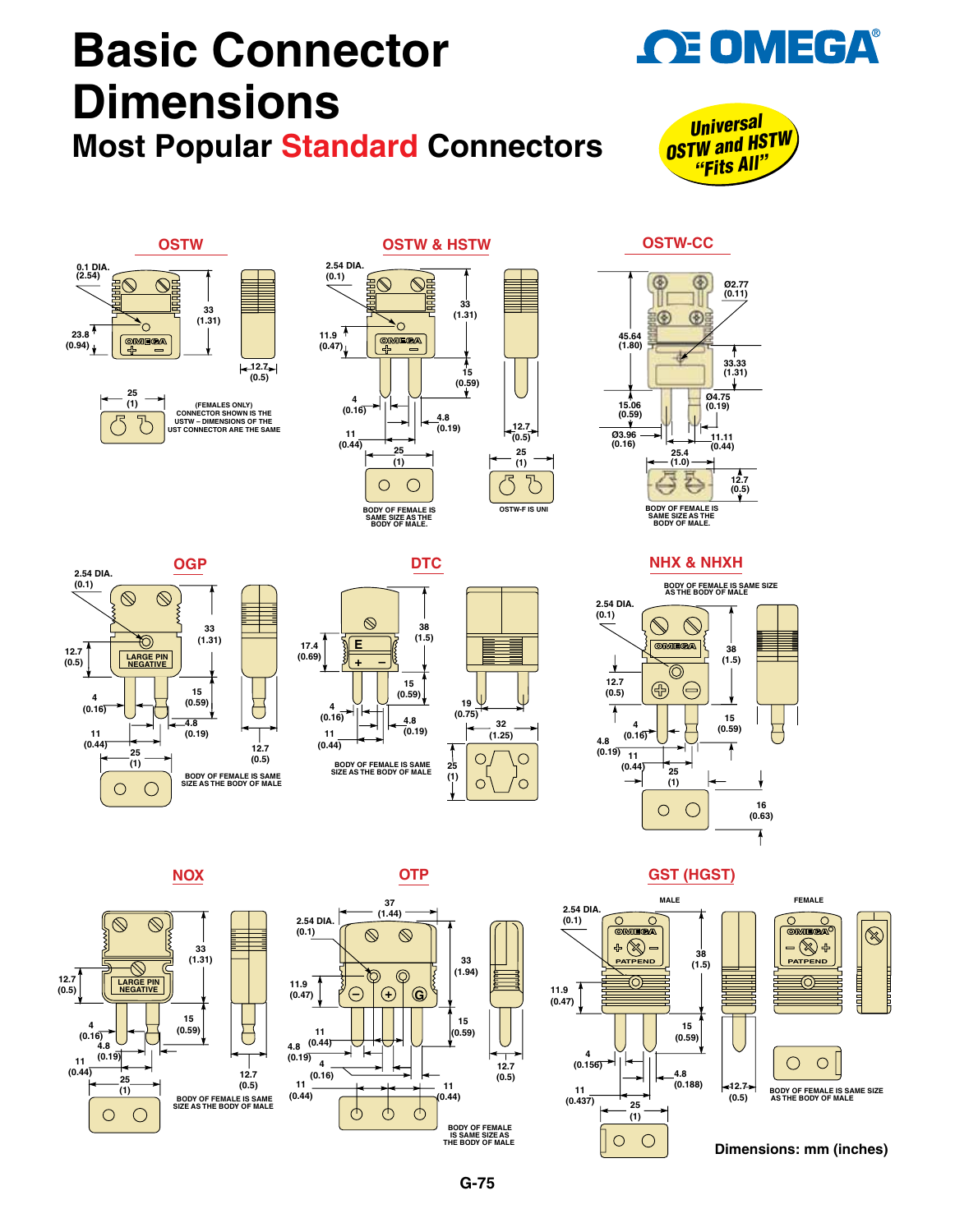# **[Basic Connector](www.omega.com)  Dimensions Most Popular Standard Connectors**



**OE OMEGA®** 







#### **2.54 DIA. (0.1)**  $\bigotimes$  $\circledcirc$ **33 (1.31)** 70) **12.7 (0.5) LARGE PIN NEGATIVE 15 4 (0.59)** U **(0.16) 4.8 11 (0.19) (0.44) 12.7 25 (0.5) (1) BODY OF FEMALE IS SAME SIZE AS THE BODY OF MALE**  $\overline{O}$  $\subset$







**OGP DTC NHX & NHXH**



### **NOX OTP GST (HGST)**









**Dimensions: mm (inches)**







**OSTW-CC**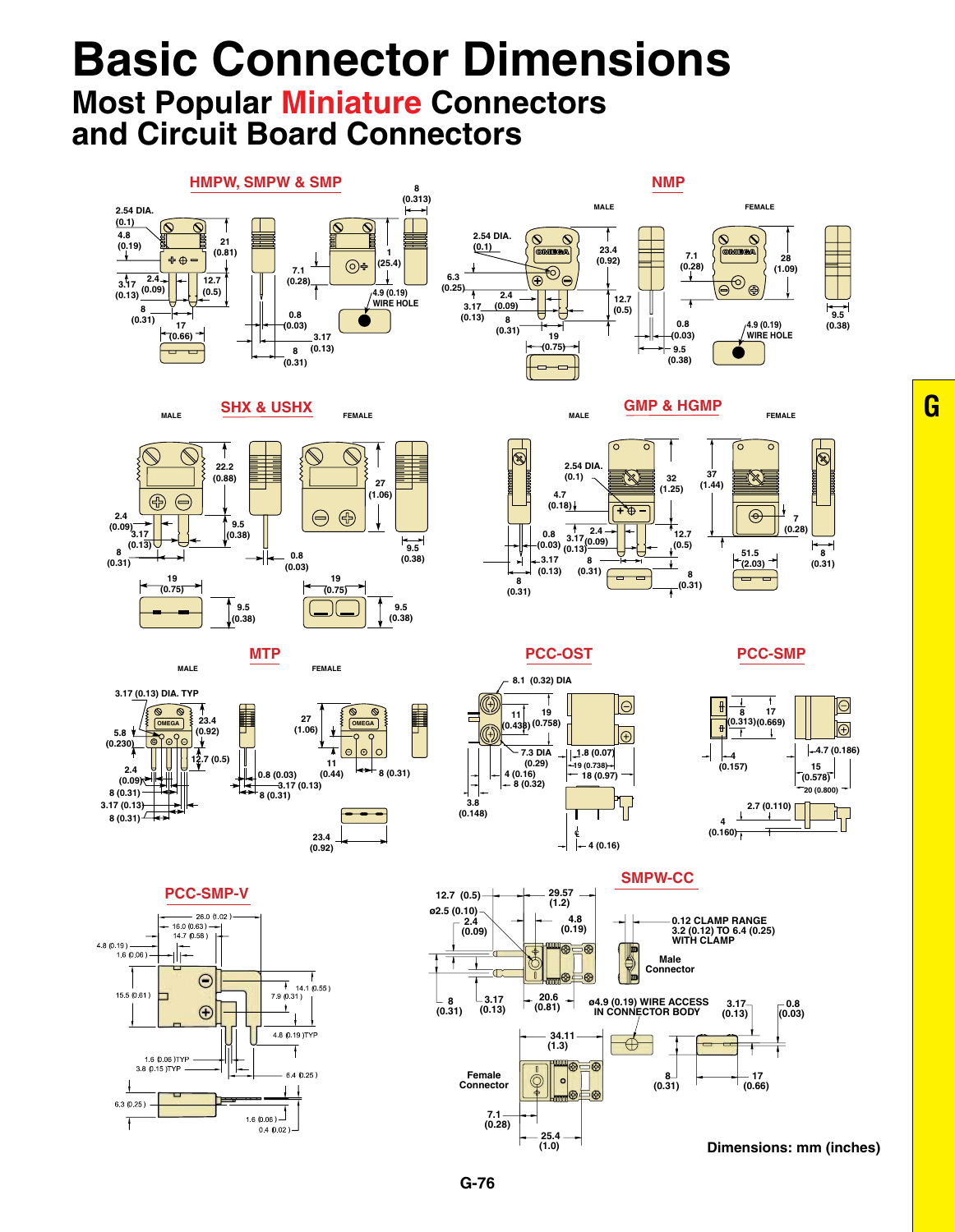# **Basic Connector Dimensions**

## **Most Popular Miniature Connectors and Circuit Board Connectors**

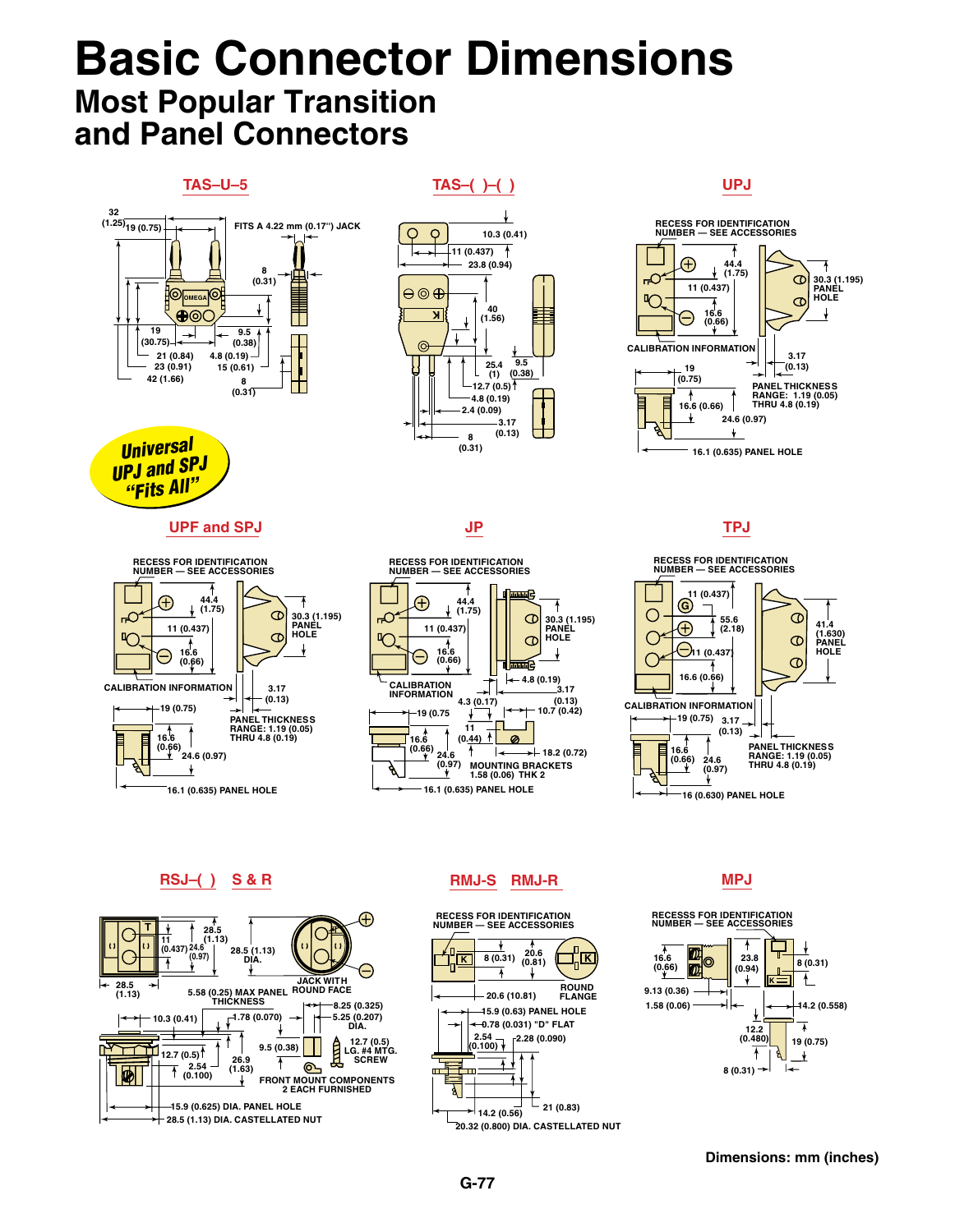# **Basic Connector Dimensions Most Popular Transition and Panel Connectors**



**Dimensions: mm (inches)**